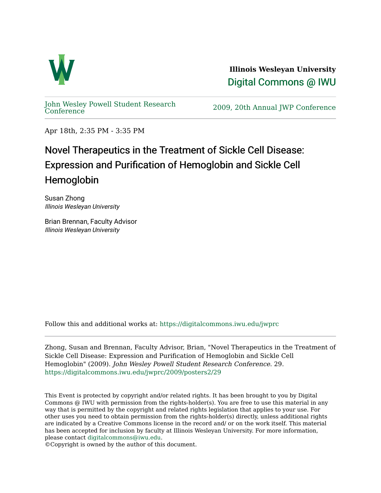

**Illinois Wesleyan University**  [Digital Commons @ IWU](https://digitalcommons.iwu.edu/) 

[John Wesley Powell Student Research](https://digitalcommons.iwu.edu/jwprc) 

2009, 20th Annual JWP [Conference](https://digitalcommons.iwu.edu/jwprc)

Apr 18th, 2:35 PM - 3:35 PM

## Novel Therapeutics in the Treatment of Sickle Cell Disease: Expression and Purification of Hemoglobin and Sickle Cell Hemoglobin

Susan Zhong Illinois Wesleyan University

Brian Brennan, Faculty Advisor Illinois Wesleyan University

Follow this and additional works at: [https://digitalcommons.iwu.edu/jwprc](https://digitalcommons.iwu.edu/jwprc?utm_source=digitalcommons.iwu.edu%2Fjwprc%2F2009%2Fposters2%2F29&utm_medium=PDF&utm_campaign=PDFCoverPages) 

Zhong, Susan and Brennan, Faculty Advisor, Brian, "Novel Therapeutics in the Treatment of Sickle Cell Disease: Expression and Purification of Hemoglobin and Sickle Cell Hemoglobin" (2009). John Wesley Powell Student Research Conference. 29. [https://digitalcommons.iwu.edu/jwprc/2009/posters2/29](https://digitalcommons.iwu.edu/jwprc/2009/posters2/29?utm_source=digitalcommons.iwu.edu%2Fjwprc%2F2009%2Fposters2%2F29&utm_medium=PDF&utm_campaign=PDFCoverPages) 

This Event is protected by copyright and/or related rights. It has been brought to you by Digital Commons @ IWU with permission from the rights-holder(s). You are free to use this material in any way that is permitted by the copyright and related rights legislation that applies to your use. For other uses you need to obtain permission from the rights-holder(s) directly, unless additional rights are indicated by a Creative Commons license in the record and/ or on the work itself. This material has been accepted for inclusion by faculty at Illinois Wesleyan University. For more information, please contact [digitalcommons@iwu.edu.](mailto:digitalcommons@iwu.edu)

©Copyright is owned by the author of this document.